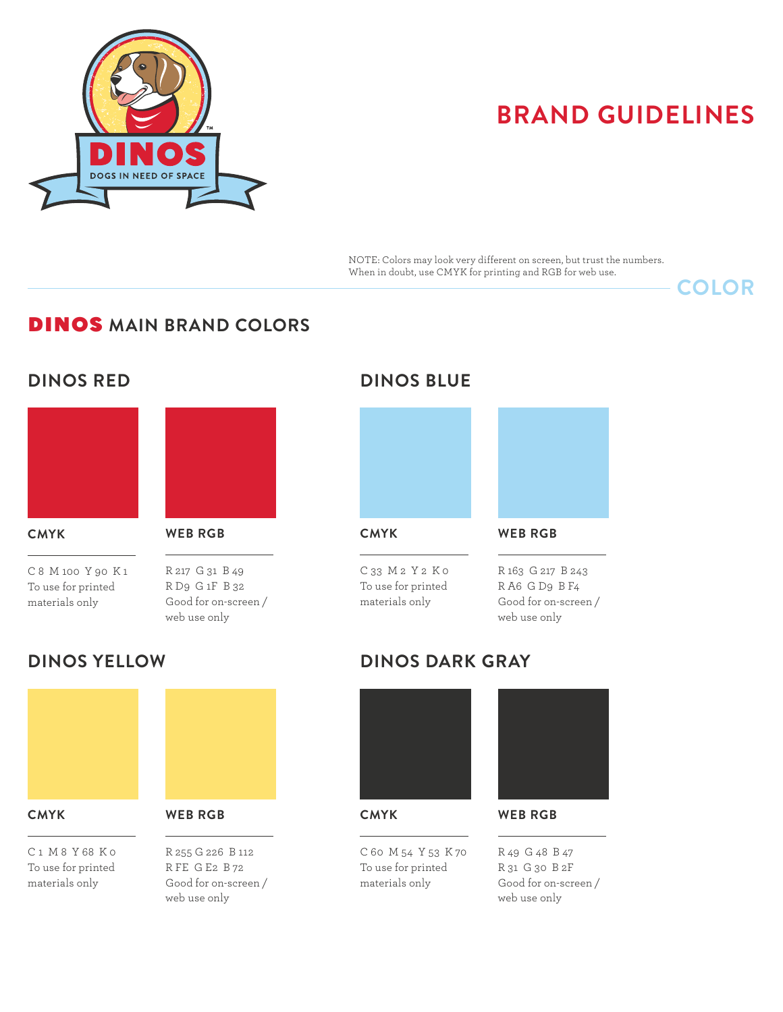

NOTE: Colors may look very different on screen, but trust the numbers. When in doubt, use CMYK for printing and RGB for web use.

**COLOR**

## DINOS **MAIN BRAND COLORS**

## **DINOS RED**



#### **CMYK**

 $\overline{a}$ 

C 8 M 100 Y 90 K 1 To use for printed materials only



### **WEB RGB**

 $\overline{a}$ 

R 217 G 31 B 49 R D9 G 1F B 32 Good for on-screen / web use only

## **DINOS BLUE**



**CMYK**

 $\overline{a}$ 

C 33 M 2 Y 2 K 0 To use for printed materials only

 $\overline{a}$ R 163 G 217 B 243 R A6 G D9 B F4 Good for on-screen / web use only

**WEB RGB**

## **DINOS YELLOW**



#### C 1 M 8 Y 68 K 0 To use for printed materials only

 $\overline{a}$ 



R 255 G 226 B 112 R FE G E2 B 72 Good for on-screen / web use only

# **DINOS DARK GRAY**



**CMYK**

 $\overline{a}$ 

C 60 M 54 Y 53 K 70 To use for printed materials only



**WEB RGB**

 $\overline{a}$ 

R 49 G 48 B 47 R 31 G 30 B 2F Good for on-screen / web use only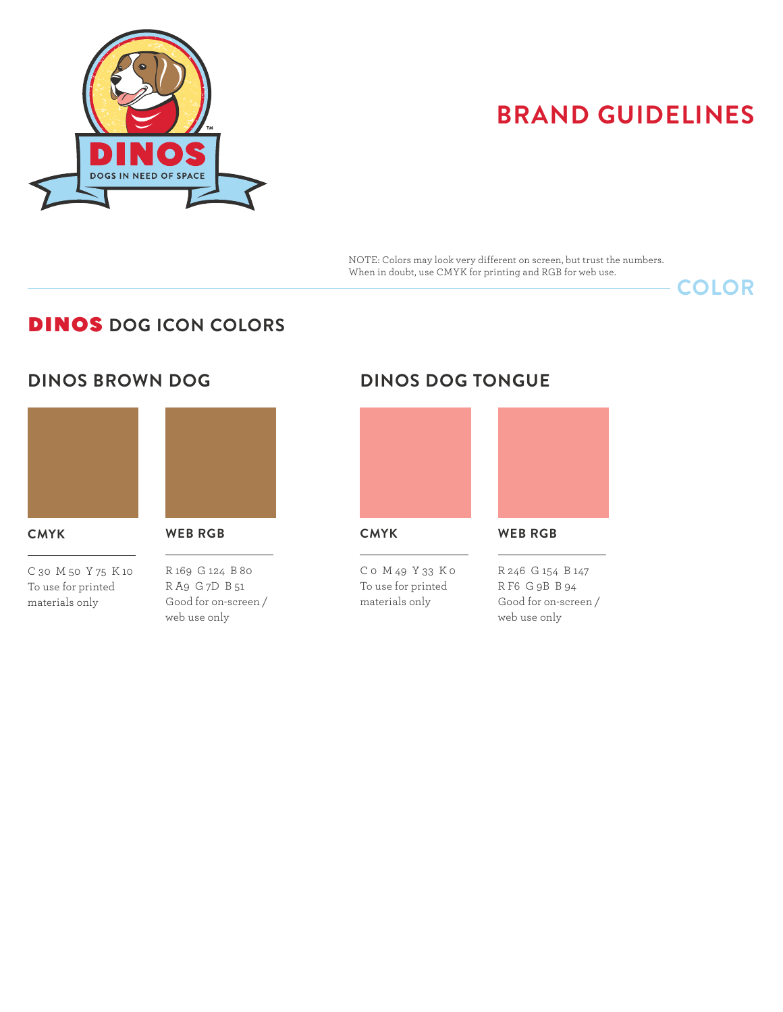

NOTE: Colors may look very different on screen, but trust the numbers. When in doubt, use CMYK for printing and RGB for web use.

## **COLOR**

## DINOS **DOG ICON COLORS**

## **DINOS BROWN DOG**



#### **CMYK**

 $\overline{a}$ 

C 30 M 50 Y 75 K 10 To use for printed materials only



### **WEB RGB**

 $\overline{a}$ 

R 169 G 124 B 80 R A9 G 7D B 51 Good for on-screen / web use only

## **DINOS DOG TONGUE**



**CMYK**

 $\overline{a}$ 

C 0 M 49 Y 33 K 0 To use for printed materials only

### **WEB RGB**

 $\overline{a}$ 

R 246 G 154 B 147 R F6 G 9B B 94 Good for on-screen / web use only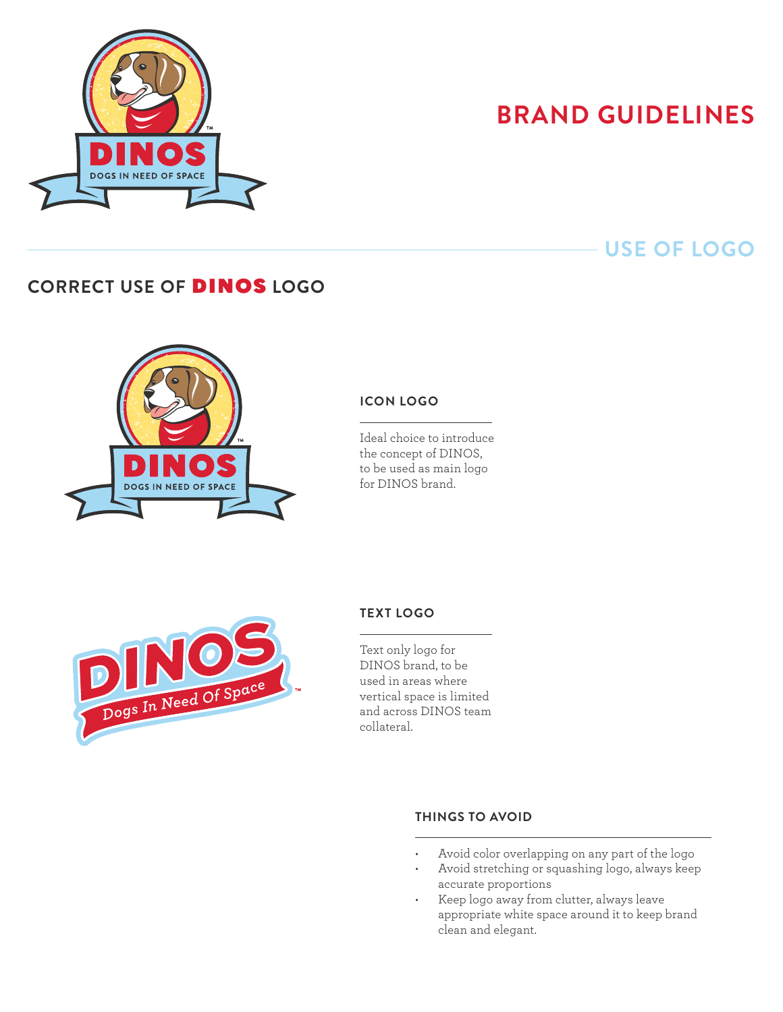

## **USE OF LOGO**

## **CORRECT USE OF** DINOS **LOGO**



### **ICON Logo**

 $\overline{a}$ 

Ideal choice to introduce the concept of DINOS, to be used as main logo for DINOS brand.



## **TEXT Logo**

 $\overline{a}$ 

Text only logo for DINOS brand, to be used in areas where vertical space is limited and across DINOS team collateral.

 $\overline{a}$ 

### **THINGS TO AVOID**

- Avoid color overlapping on any part of the logo
- • Avoid stretching or squashing logo, always keep accurate proportions
- • Keep logo away from clutter, always leave appropriate white space around it to keep brand clean and elegant.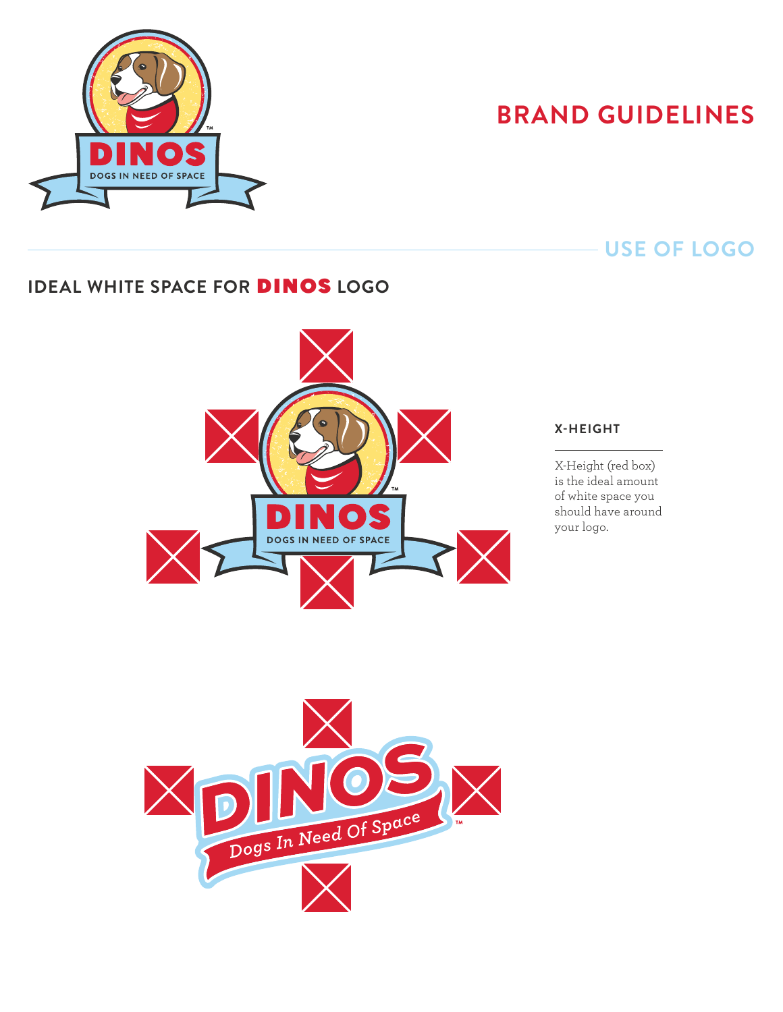

## **USE OF LOGO**

## **IDEAL WHITE SPACE FOR** DINOS **LOGO**



#### **X-Height**

 $\overline{a}$ 

X-Height (red box) is the ideal amount of white space you should have around your logo.